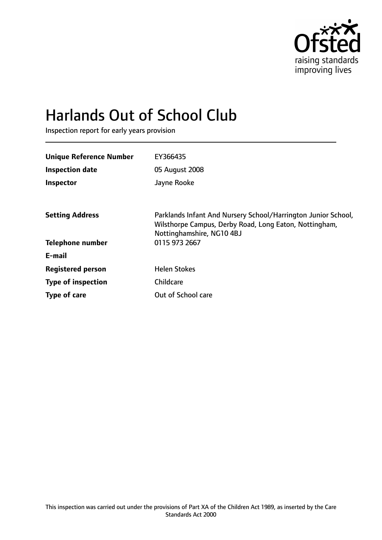

# Harlands Out of School Club

Inspection report for early years provision

| EY366435                                                                                                                                             |
|------------------------------------------------------------------------------------------------------------------------------------------------------|
| 05 August 2008                                                                                                                                       |
| Jayne Rooke                                                                                                                                          |
|                                                                                                                                                      |
| Parklands Infant And Nursery School/Harrington Junior School,<br>Wilsthorpe Campus, Derby Road, Long Eaton, Nottingham,<br>Nottinghamshire, NG10 4BJ |
| 0115 973 2667                                                                                                                                        |
|                                                                                                                                                      |
| <b>Helen Stokes</b>                                                                                                                                  |
| Childcare                                                                                                                                            |
| Out of School care                                                                                                                                   |
|                                                                                                                                                      |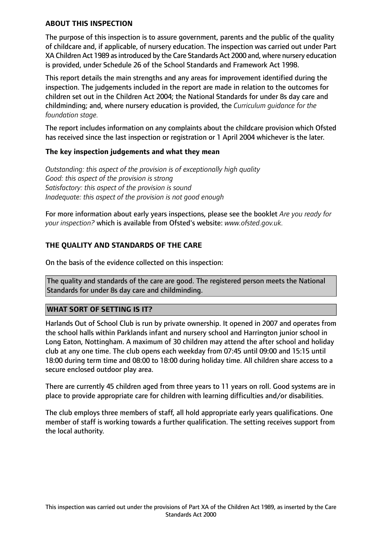# **ABOUT THIS INSPECTION**

The purpose of this inspection is to assure government, parents and the public of the quality of childcare and, if applicable, of nursery education. The inspection was carried out under Part XA Children Act 1989 as introduced by the Care Standards Act 2000 and, where nursery education is provided, under Schedule 26 of the School Standards and Framework Act 1998.

This report details the main strengths and any areas for improvement identified during the inspection. The judgements included in the report are made in relation to the outcomes for children set out in the Children Act 2004; the National Standards for under 8s day care and childminding; and, where nursery education is provided, the *Curriculum guidance for the foundation stage.*

The report includes information on any complaints about the childcare provision which Ofsted has received since the last inspection or registration or 1 April 2004 whichever is the later.

# **The key inspection judgements and what they mean**

*Outstanding: this aspect of the provision is of exceptionally high quality Good: this aspect of the provision is strong Satisfactory: this aspect of the provision is sound Inadequate: this aspect of the provision is not good enough*

For more information about early years inspections, please see the booklet *Are you ready for your inspection?* which is available from Ofsted's website: *www.ofsted.gov.uk.*

# **THE QUALITY AND STANDARDS OF THE CARE**

On the basis of the evidence collected on this inspection:

The quality and standards of the care are good. The registered person meets the National Standards for under 8s day care and childminding.

# **WHAT SORT OF SETTING IS IT?**

Harlands Out of School Club is run by private ownership. It opened in 2007 and operates from the school halls within Parklands infant and nursery school and Harrington junior school in Long Eaton, Nottingham. A maximum of 30 children may attend the after school and holiday club at any one time. The club opens each weekday from 07:45 until 09:00 and 15:15 until 18:00 during term time and 08:00 to 18:00 during holiday time. All children share access to a secure enclosed outdoor play area.

There are currently 45 children aged from three years to 11 years on roll. Good systems are in place to provide appropriate care for children with learning difficulties and/or disabilities.

The club employs three members of staff, all hold appropriate early years qualifications. One member of staff is working towards a further qualification. The setting receives support from the local authority.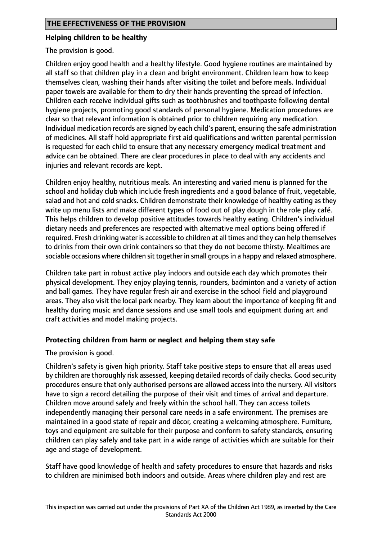#### **Helping children to be healthy**

The provision is good.

Children enjoy good health and a healthy lifestyle. Good hygiene routines are maintained by all staff so that children play in a clean and bright environment. Children learn how to keep themselves clean, washing their hands after visiting the toilet and before meals. Individual paper towels are available for them to dry their hands preventing the spread of infection. Children each receive individual gifts such as toothbrushes and toothpaste following dental hygiene projects, promoting good standards of personal hygiene. Medication procedures are clear so that relevant information is obtained prior to children requiring any medication. Individual medication records are signed by each child's parent, ensuring the safe administration of medicines. All staff hold appropriate first aid qualifications and written parental permission is requested for each child to ensure that any necessary emergency medical treatment and advice can be obtained. There are clear procedures in place to deal with any accidents and injuries and relevant records are kept.

Children enjoy healthy, nutritious meals. An interesting and varied menu is planned for the school and holiday club which include fresh ingredients and a good balance of fruit, vegetable, salad and hot and cold snacks. Children demonstrate their knowledge of healthy eating as they write up menu lists and make different types of food out of play dough in the role play café. This helps children to develop positive attitudes towards healthy eating. Children's individual dietary needs and preferences are respected with alternative meal options being offered if required. Fresh drinking water is accessible to children at all times and they can help themselves to drinks from their own drink containers so that they do not become thirsty. Mealtimes are sociable occasions where children sit together in small groups in a happy and relaxed atmosphere.

Children take part in robust active play indoors and outside each day which promotes their physical development. They enjoy playing tennis, rounders, badminton and a variety of action and ball games. They have regular fresh air and exercise in the school field and playground areas. They also visit the local park nearby. They learn about the importance of keeping fit and healthy during music and dance sessions and use small tools and equipment during art and craft activities and model making projects.

# **Protecting children from harm or neglect and helping them stay safe**

The provision is good.

Children's safety is given high priority. Staff take positive steps to ensure that all areas used by children are thoroughly risk assessed, keeping detailed records of daily checks. Good security procedures ensure that only authorised persons are allowed access into the nursery. All visitors have to sign a record detailing the purpose of their visit and times of arrival and departure. Children move around safely and freely within the school hall. They can access toilets independently managing their personal care needs in a safe environment. The premises are maintained in a good state of repair and décor, creating a welcoming atmosphere. Furniture, toys and equipment are suitable for their purpose and conform to safety standards, ensuring children can play safely and take part in a wide range of activities which are suitable for their age and stage of development.

Staff have good knowledge of health and safety procedures to ensure that hazards and risks to children are minimised both indoors and outside. Areas where children play and rest are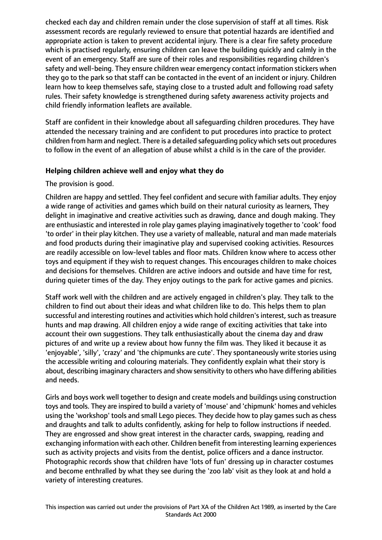checked each day and children remain under the close supervision of staff at all times. Risk assessment records are regularly reviewed to ensure that potential hazards are identified and appropriate action is taken to prevent accidental injury. There is a clear fire safety procedure which is practised regularly, ensuring children can leave the building quickly and calmly in the event of an emergency. Staff are sure of their roles and responsibilities regarding children's safety and well-being. They ensure children wear emergency contact information stickers when they go to the park so that staff can be contacted in the event of an incident or injury. Children learn how to keep themselves safe, staying close to a trusted adult and following road safety rules. Their safety knowledge is strengthened during safety awareness activity projects and child friendly information leaflets are available.

Staff are confident in their knowledge about all safeguarding children procedures. They have attended the necessary training and are confident to put procedures into practice to protect children from harm and neglect. There is a detailed safeguarding policy which sets out procedures to follow in the event of an allegation of abuse whilst a child is in the care of the provider.

# **Helping children achieve well and enjoy what they do**

The provision is good.

Children are happy and settled. They feel confident and secure with familiar adults. They enjoy a wide range of activities and games which build on their natural curiosity as learners, They delight in imaginative and creative activities such as drawing, dance and dough making. They are enthusiastic and interested in role play games playing imaginatively together to 'cook' food 'to order' in their play kitchen. They use a variety of malleable, natural and man made materials and food products during their imaginative play and supervised cooking activities. Resources are readily accessible on low-level tables and floor mats. Children know where to access other toys and equipment if they wish to request changes. This encourages children to make choices and decisions for themselves. Children are active indoors and outside and have time for rest, during quieter times of the day. They enjoy outings to the park for active games and picnics.

Staff work well with the children and are actively engaged in children's play. They talk to the children to find out about their ideas and what children like to do. This helps them to plan successful and interesting routines and activities which hold children's interest, such as treasure hunts and map drawing. All children enjoy a wide range of exciting activities that take into account their own suggestions. They talk enthusiastically about the cinema day and draw pictures of and write up a review about how funny the film was. They liked it because it as 'enjoyable', 'silly', 'crazy' and 'the chipmunks are cute'. They spontaneously write stories using the accessible writing and colouring materials. They confidently explain what their story is about, describing imaginary characters and show sensitivity to others who have differing abilities and needs.

Girls and boys work well together to design and create models and buildings using construction toys and tools. They are inspired to build a variety of 'mouse' and 'chipmunk' homes and vehicles using the 'workshop' tools and small Lego pieces. They decide how to play games such as chess and draughts and talk to adults confidently, asking for help to follow instructions if needed. They are engrossed and show great interest in the character cards, swapping, reading and exchanging information with each other. Children benefit from interesting learning experiences such as activity projects and visits from the dentist, police officers and a dance instructor. Photographic records show that children have 'lots of fun' dressing up in character costumes and become enthralled by what they see during the 'zoo lab' visit as they look at and hold a variety of interesting creatures.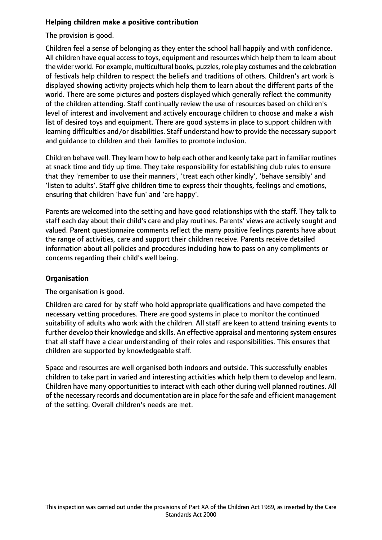# **Helping children make a positive contribution**

The provision is good.

Children feel a sense of belonging as they enter the school hall happily and with confidence. All children have equal access to toys, equipment and resources which help them to learn about the wider world. For example, multicultural books, puzzles, role play costumes and the celebration of festivals help children to respect the beliefs and traditions of others. Children's art work is displayed showing activity projects which help them to learn about the different parts of the world. There are some pictures and posters displayed which generally reflect the community of the children attending. Staff continually review the use of resources based on children's level of interest and involvement and actively encourage children to choose and make a wish list of desired toys and equipment. There are good systems in place to support children with learning difficulties and/or disabilities. Staff understand how to provide the necessary support and guidance to children and their families to promote inclusion.

Children behave well. They learn how to help each other and keenly take part in familiar routines at snack time and tidy up time. They take responsibility for establishing club rules to ensure that they 'remember to use their manners', 'treat each other kindly', 'behave sensibly' and 'listen to adults'. Staff give children time to express their thoughts, feelings and emotions, ensuring that children 'have fun' and 'are happy'.

Parents are welcomed into the setting and have good relationships with the staff. They talk to staff each day about their child's care and play routines. Parents' views are actively sought and valued. Parent questionnaire comments reflect the many positive feelings parents have about the range of activities, care and support their children receive. Parents receive detailed information about all policies and procedures including how to pass on any compliments or concerns regarding their child's well being.

# **Organisation**

The organisation is good.

Children are cared for by staff who hold appropriate qualifications and have competed the necessary vetting procedures. There are good systems in place to monitor the continued suitability of adults who work with the children. All staff are keen to attend training events to further develop their knowledge and skills. An effective appraisal and mentoring system ensures that all staff have a clear understanding of their roles and responsibilities. This ensures that children are supported by knowledgeable staff.

Space and resources are well organised both indoors and outside. This successfully enables children to take part in varied and interesting activities which help them to develop and learn. Children have many opportunities to interact with each other during well planned routines. All of the necessary records and documentation are in place for the safe and efficient management of the setting. Overall children's needs are met.